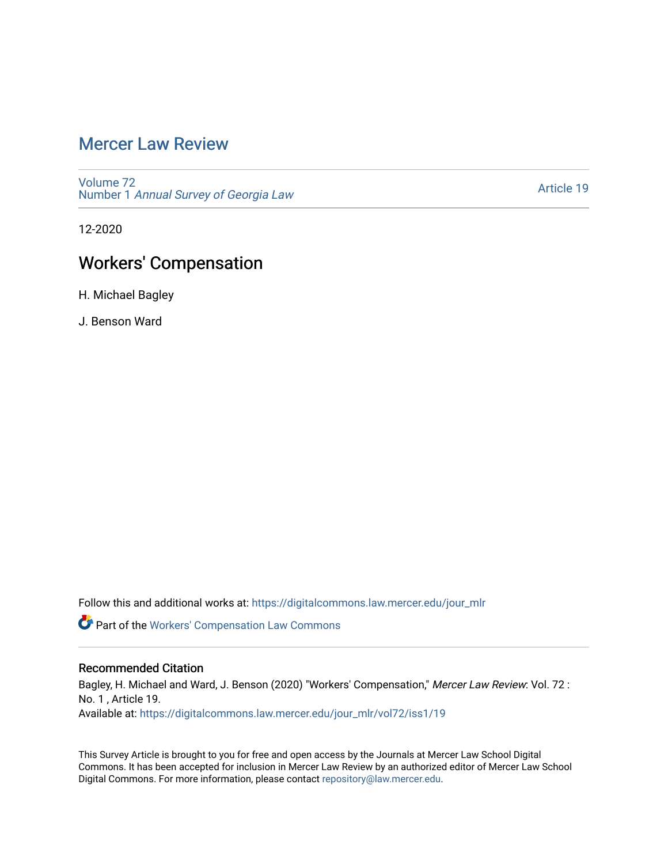## [Mercer Law Review](https://digitalcommons.law.mercer.edu/jour_mlr)

[Volume 72](https://digitalcommons.law.mercer.edu/jour_mlr/vol72) Number 1 [Annual Survey of Georgia Law](https://digitalcommons.law.mercer.edu/jour_mlr/vol72/iss1) 

[Article 19](https://digitalcommons.law.mercer.edu/jour_mlr/vol72/iss1/19) 

12-2020

# Workers' Compensation

H. Michael Bagley

J. Benson Ward

Follow this and additional works at: [https://digitalcommons.law.mercer.edu/jour\\_mlr](https://digitalcommons.law.mercer.edu/jour_mlr?utm_source=digitalcommons.law.mercer.edu%2Fjour_mlr%2Fvol72%2Fiss1%2F19&utm_medium=PDF&utm_campaign=PDFCoverPages)

Part of the [Workers' Compensation Law Commons](http://network.bepress.com/hgg/discipline/889?utm_source=digitalcommons.law.mercer.edu%2Fjour_mlr%2Fvol72%2Fiss1%2F19&utm_medium=PDF&utm_campaign=PDFCoverPages)

## Recommended Citation

Bagley, H. Michael and Ward, J. Benson (2020) "Workers' Compensation," Mercer Law Review: Vol. 72 : No. 1 , Article 19. Available at: [https://digitalcommons.law.mercer.edu/jour\\_mlr/vol72/iss1/19](https://digitalcommons.law.mercer.edu/jour_mlr/vol72/iss1/19?utm_source=digitalcommons.law.mercer.edu%2Fjour_mlr%2Fvol72%2Fiss1%2F19&utm_medium=PDF&utm_campaign=PDFCoverPages) 

This Survey Article is brought to you for free and open access by the Journals at Mercer Law School Digital Commons. It has been accepted for inclusion in Mercer Law Review by an authorized editor of Mercer Law School Digital Commons. For more information, please contact [repository@law.mercer.edu](mailto:repository@law.mercer.edu).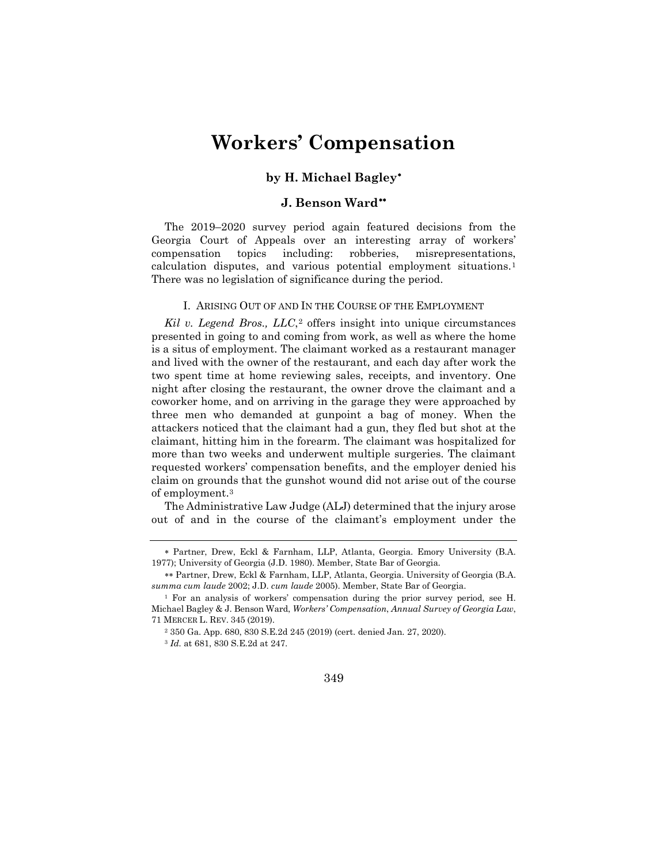# **Workers' Compensation**

## **by H. Michael Bagley**[∗](#page-1-0)

## **J. Benson Ward**[∗∗](#page-1-1)

The 2019–2020 survey period again featured decisions from the Georgia Court of Appeals over an interesting array of workers' compensation topics including: robberies, misrepresentations, calculation disputes, and various potential employment situations.[1](#page-1-2) There was no legislation of significance during the period.

#### I. ARISING OUT OF AND IN THE COURSE OF THE EMPLOYMENT

*Kil v. Legend Bros., LLC*,[2](#page-1-3) offers insight into unique circumstances presented in going to and coming from work, as well as where the home is a situs of employment. The claimant worked as a restaurant manager and lived with the owner of the restaurant, and each day after work the two spent time at home reviewing sales, receipts, and inventory. One night after closing the restaurant, the owner drove the claimant and a coworker home, and on arriving in the garage they were approached by three men who demanded at gunpoint a bag of money. When the attackers noticed that the claimant had a gun, they fled but shot at the claimant, hitting him in the forearm. The claimant was hospitalized for more than two weeks and underwent multiple surgeries. The claimant requested workers' compensation benefits, and the employer denied his claim on grounds that the gunshot wound did not arise out of the course of employment[.3](#page-1-4)

The Administrative Law Judge (ALJ) determined that the injury arose out of and in the course of the claimant's employment under the

<sup>3</sup> *Id.* at 681, 830 S.E.2d at 247.



<span id="page-1-0"></span><sup>∗</sup> Partner, Drew, Eckl & Farnham, LLP, Atlanta, Georgia. Emory University (B.A. 1977); University of Georgia (J.D. 1980). Member, State Bar of Georgia.

<span id="page-1-1"></span><sup>∗∗</sup> Partner, Drew, Eckl & Farnham, LLP, Atlanta, Georgia. University of Georgia (B.A. *summa cum laude* 2002; J.D. *cum laude* 2005). Member, State Bar of Georgia.

<span id="page-1-4"></span><span id="page-1-3"></span><span id="page-1-2"></span><sup>1</sup> For an analysis of workers' compensation during the prior survey period, see H. Michael Bagley & J. Benson Ward, *Workers' Compensation*, *Annual Survey of Georgia Law*, 71 MERCER L. REV. 345 (2019).

<sup>2</sup> 350 Ga. App. 680, 830 S.E.2d 245 (2019) (cert. denied Jan. 27, 2020).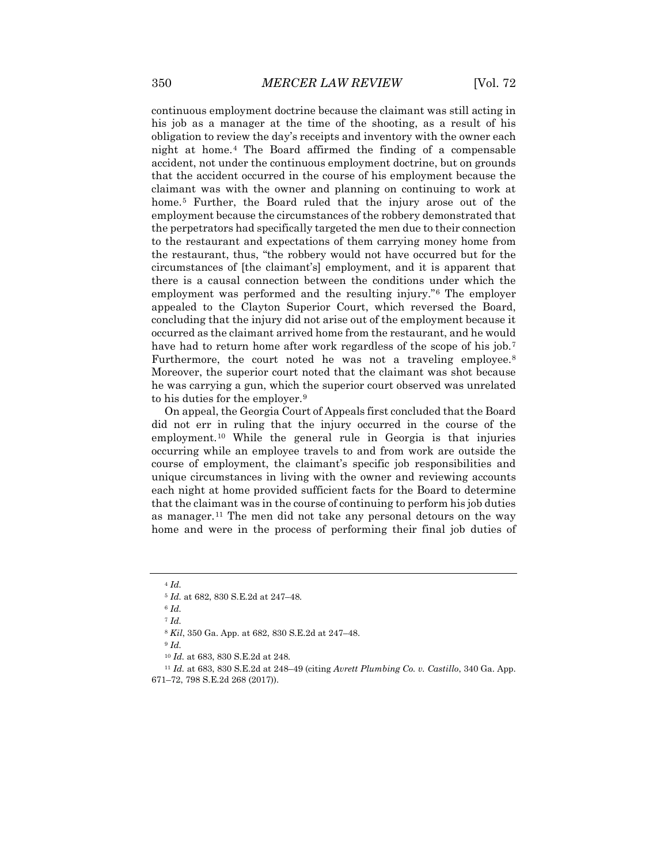continuous employment doctrine because the claimant was still acting in his job as a manager at the time of the shooting, as a result of his obligation to review the day's receipts and inventory with the owner each night at home.[4](#page-2-0) The Board affirmed the finding of a compensable accident, not under the continuous employment doctrine, but on grounds that the accident occurred in the course of his employment because the claimant was with the owner and planning on continuing to work at home.<sup>[5](#page-2-1)</sup> Further, the Board ruled that the injury arose out of the employment because the circumstances of the robbery demonstrated that the perpetrators had specifically targeted the men due to their connection to the restaurant and expectations of them carrying money home from the restaurant, thus, "the robbery would not have occurred but for the circumstances of [the claimant's] employment, and it is apparent that there is a causal connection between the conditions under which the employment was performed and the resulting injury."[6](#page-2-2) The employer appealed to the Clayton Superior Court, which reversed the Board, concluding that the injury did not arise out of the employment because it occurred as the claimant arrived home from the restaurant, and he would have had to return home after work regardless of the scope of his job.<sup>[7](#page-2-3)</sup> Furthermore, the court noted he was not a traveling employee.<sup>[8](#page-2-4)</sup> Moreover, the superior court noted that the claimant was shot because he was carrying a gun, which the superior court observed was unrelated to his duties for the employer.[9](#page-2-5)

On appeal, the Georgia Court of Appeals first concluded that the Board did not err in ruling that the injury occurred in the course of the employment.[10](#page-2-6) While the general rule in Georgia is that injuries occurring while an employee travels to and from work are outside the course of employment, the claimant's specific job responsibilities and unique circumstances in living with the owner and reviewing accounts each night at home provided sufficient facts for the Board to determine that the claimant was in the course of continuing to perform his job duties as manager.[11](#page-2-7) The men did not take any personal detours on the way home and were in the process of performing their final job duties of

<sup>7</sup> *Id.*

<span id="page-2-0"></span><sup>4</sup> *Id.*

<span id="page-2-1"></span><sup>5</sup> *Id.* at 682, 830 S.E.2d at 247–48.

<sup>6</sup> *Id.*

<sup>8</sup> *Kil*, 350 Ga. App. at 682, 830 S.E.2d at 247–48.

<span id="page-2-2"></span><sup>9</sup> *Id.*

<sup>10</sup> *Id.* at 683, 830 S.E.2d at 248.

<span id="page-2-7"></span><span id="page-2-6"></span><span id="page-2-5"></span><span id="page-2-4"></span><span id="page-2-3"></span><sup>11</sup> *Id.* at 683, 830 S.E.2d at 248–49 (citing *Avrett Plumbing Co. v. Castillo*, 340 Ga. App. 671–72, 798 S.E.2d 268 (2017)).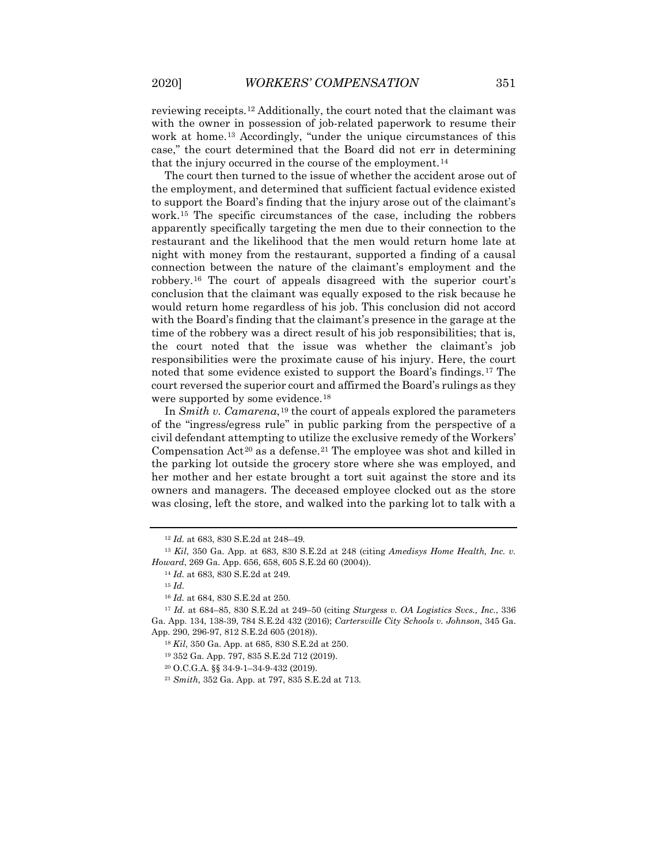reviewing receipts.[12](#page-3-0) Additionally, the court noted that the claimant was with the owner in possession of job-related paperwork to resume their work at home.[13](#page-3-1) Accordingly, "under the unique circumstances of this case," the court determined that the Board did not err in determining that the injury occurred in the course of the employment.[14](#page-3-2)

The court then turned to the issue of whether the accident arose out of the employment, and determined that sufficient factual evidence existed to support the Board's finding that the injury arose out of the claimant's work.[15](#page-3-3) The specific circumstances of the case, including the robbers apparently specifically targeting the men due to their connection to the restaurant and the likelihood that the men would return home late at night with money from the restaurant, supported a finding of a causal connection between the nature of the claimant's employment and the robbery.[16](#page-3-4) The court of appeals disagreed with the superior court's conclusion that the claimant was equally exposed to the risk because he would return home regardless of his job. This conclusion did not accord with the Board's finding that the claimant's presence in the garage at the time of the robbery was a direct result of his job responsibilities; that is, the court noted that the issue was whether the claimant's job responsibilities were the proximate cause of his injury. Here, the court noted that some evidence existed to support the Board's findings.[17](#page-3-5) The court reversed the superior court and affirmed the Board's rulings as they were supported by some evidence.<sup>[18](#page-3-6)</sup>

In *Smith v. Camarena*,<sup>[19](#page-3-7)</sup> the court of appeals explored the parameters of the "ingress/egress rule" in public parking from the perspective of a civil defendant attempting to utilize the exclusive remedy of the Workers' Compensation  $Act^{20}$  $Act^{20}$  $Act^{20}$  as a defense.<sup>[21](#page-3-9)</sup> The employee was shot and killed in the parking lot outside the grocery store where she was employed, and her mother and her estate brought a tort suit against the store and its owners and managers. The deceased employee clocked out as the store was closing, left the store, and walked into the parking lot to talk with a

<sup>12</sup> *Id.* at 683, 830 S.E.2d at 248–49.

<span id="page-3-2"></span><span id="page-3-1"></span><span id="page-3-0"></span><sup>13</sup> *Kil*, 350 Ga. App. at 683, 830 S.E.2d at 248 (citing *Amedisys Home Health, Inc. v. Howard*, 269 Ga. App. 656, 658, 605 S.E.2d 60 (2004)).

<sup>14</sup> *Id.* at 683, 830 S.E.2d at 249.

<sup>15</sup> *Id.*

<sup>16</sup> *Id.* at 684, 830 S.E.2d at 250.

<span id="page-3-8"></span><span id="page-3-7"></span><span id="page-3-6"></span><span id="page-3-5"></span><span id="page-3-4"></span><span id="page-3-3"></span><sup>17</sup> *Id.* at 684–85, 830 S.E.2d at 249–50 (citing *Sturgess v. OA Logistics Svcs., Inc.*, 336 Ga. App. 134, 138-39, 784 S.E.2d 432 (2016); *Cartersville City Schools v. Johnson*, 345 Ga. App. 290, 296-97, 812 S.E.2d 605 (2018)).

<sup>18</sup> *Kil*, 350 Ga. App. at 685, 830 S.E.2d at 250.

<sup>19</sup> 352 Ga. App. 797, 835 S.E.2d 712 (2019).

<sup>20</sup> O.C.G.A. §§ 34-9-1–34-9-432 (2019).

<span id="page-3-9"></span><sup>21</sup> *Smith*, 352 Ga. App. at 797, 835 S.E.2d at 713.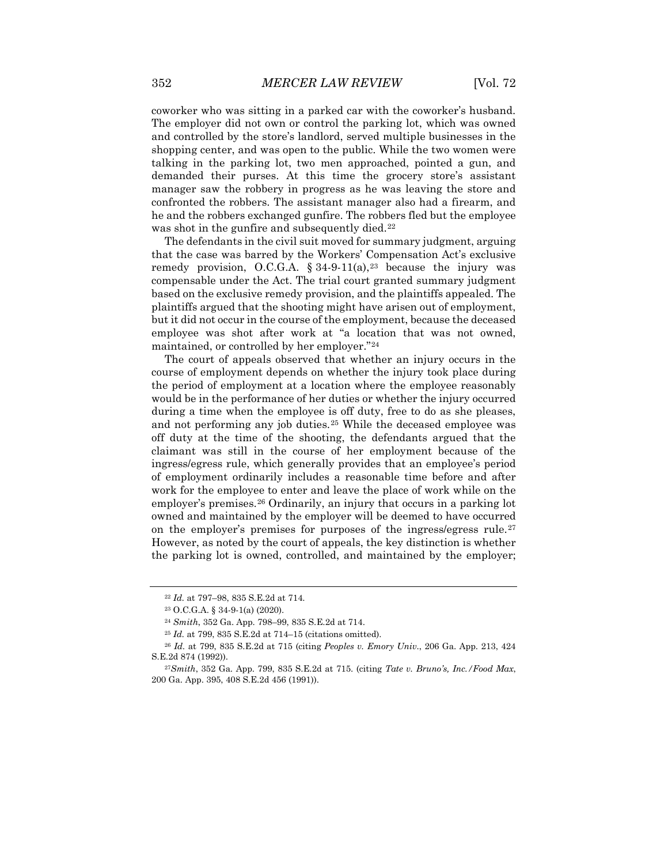coworker who was sitting in a parked car with the coworker's husband. The employer did not own or control the parking lot, which was owned and controlled by the store's landlord, served multiple businesses in the shopping center, and was open to the public. While the two women were talking in the parking lot, two men approached, pointed a gun, and demanded their purses. At this time the grocery store's assistant manager saw the robbery in progress as he was leaving the store and confronted the robbers. The assistant manager also had a firearm, and he and the robbers exchanged gunfire. The robbers fled but the employee was shot in the gunfire and subsequently died.<sup>[22](#page-4-0)</sup>

The defendants in the civil suit moved for summary judgment, arguing that the case was barred by the Workers' Compensation Act's exclusive remedy provision, O.C.G.A.  $\S 34-9-11(a),^{23}$  $\S 34-9-11(a),^{23}$  $\S 34-9-11(a),^{23}$  because the injury was compensable under the Act. The trial court granted summary judgment based on the exclusive remedy provision, and the plaintiffs appealed. The plaintiffs argued that the shooting might have arisen out of employment, but it did not occur in the course of the employment, because the deceased employee was shot after work at "a location that was not owned, maintained, or controlled by her employer."[24](#page-4-2)

The court of appeals observed that whether an injury occurs in the course of employment depends on whether the injury took place during the period of employment at a location where the employee reasonably would be in the performance of her duties or whether the injury occurred during a time when the employee is off duty, free to do as she pleases, and not performing any job duties.<sup>[25](#page-4-3)</sup> While the deceased employee was off duty at the time of the shooting, the defendants argued that the claimant was still in the course of her employment because of the ingress/egress rule, which generally provides that an employee's period of employment ordinarily includes a reasonable time before and after work for the employee to enter and leave the place of work while on the employer's premises.[26](#page-4-4) Ordinarily, an injury that occurs in a parking lot owned and maintained by the employer will be deemed to have occurred on the employer's premises for purposes of the ingress/egress rule.[27](#page-4-5) However, as noted by the court of appeals, the key distinction is whether the parking lot is owned, controlled, and maintained by the employer;

<sup>22</sup> *Id.* at 797–98, 835 S.E.2d at 714.

<sup>23</sup> O.C.G.A. § 34-9-1(a) (2020).

<sup>24</sup> *Smith*, 352 Ga. App. 798–99, 835 S.E.2d at 714.

<sup>25</sup> *Id.* at 799, 835 S.E.2d at 714–15 (citations omitted).

<span id="page-4-4"></span><span id="page-4-3"></span><span id="page-4-2"></span><span id="page-4-1"></span><span id="page-4-0"></span><sup>26</sup> *Id.* at 799, 835 S.E.2d at 715 (citing *Peoples v. Emory Univ*., 206 Ga. App. 213, 424 S.E.2d 874 (1992)).

<span id="page-4-5"></span><sup>27</sup>*Smith*, 352 Ga. App. 799, 835 S.E.2d at 715. (citing *Tate v. Bruno's, Inc./Food Max*, 200 Ga. App. 395, 408 S.E.2d 456 (1991)).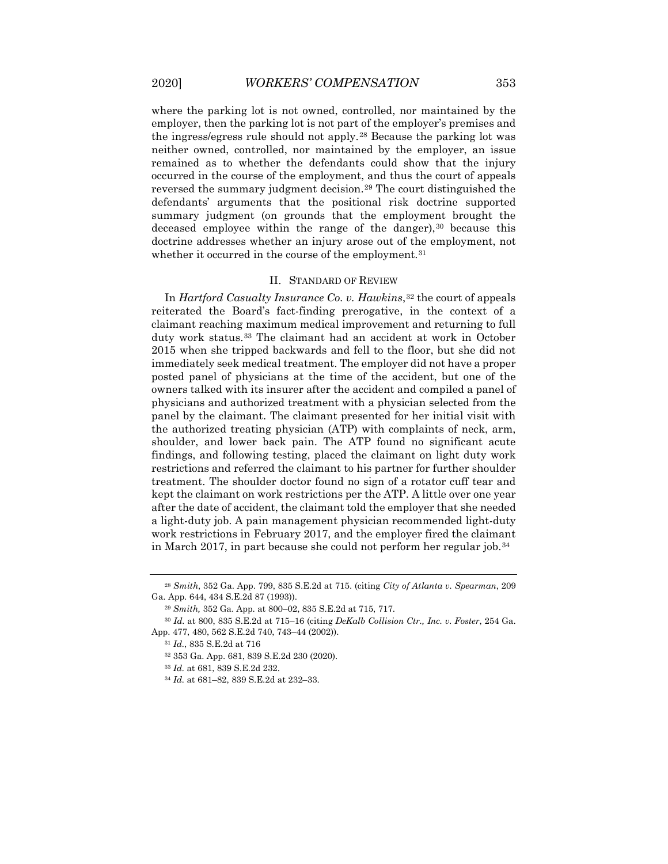where the parking lot is not owned, controlled, nor maintained by the employer, then the parking lot is not part of the employer's premises and the ingress/egress rule should not apply.[28](#page-5-0) Because the parking lot was neither owned, controlled, nor maintained by the employer, an issue remained as to whether the defendants could show that the injury occurred in the course of the employment, and thus the court of appeals reversed the summary judgment decision.<sup>[29](#page-5-1)</sup> The court distinguished the defendants' arguments that the positional risk doctrine supported summary judgment (on grounds that the employment brought the deceased employee within the range of the danger),<sup>[30](#page-5-2)</sup> because this doctrine addresses whether an injury arose out of the employment, not whether it occurred in the course of the employment.<sup>[31](#page-5-3)</sup>

#### II. STANDARD OF REVIEW

In *Hartford Casualty Insurance Co. v. Hawkins*,<sup>[32](#page-5-4)</sup> the court of appeals reiterated the Board's fact-finding prerogative, in the context of a claimant reaching maximum medical improvement and returning to full duty work status.<sup>[33](#page-5-5)</sup> The claimant had an accident at work in October 2015 when she tripped backwards and fell to the floor, but she did not immediately seek medical treatment. The employer did not have a proper posted panel of physicians at the time of the accident, but one of the owners talked with its insurer after the accident and compiled a panel of physicians and authorized treatment with a physician selected from the panel by the claimant. The claimant presented for her initial visit with the authorized treating physician (ATP) with complaints of neck, arm, shoulder, and lower back pain. The ATP found no significant acute findings, and following testing, placed the claimant on light duty work restrictions and referred the claimant to his partner for further shoulder treatment. The shoulder doctor found no sign of a rotator cuff tear and kept the claimant on work restrictions per the ATP. A little over one year after the date of accident, the claimant told the employer that she needed a light-duty job. A pain management physician recommended light-duty work restrictions in February 2017, and the employer fired the claimant in March 2017, in part because she could not perform her regular job.[34](#page-5-6)

<span id="page-5-0"></span><sup>28</sup> *Smith*, 352 Ga. App. 799, 835 S.E.2d at 715. (citing *City of Atlanta v. Spearman*, 209 Ga. App. 644, 434 S.E.2d 87 (1993)).

<sup>29</sup> *Smith,* 352 Ga. App. at 800–02, 835 S.E.2d at 715, 717.

<span id="page-5-6"></span><span id="page-5-5"></span><span id="page-5-4"></span><span id="page-5-3"></span><span id="page-5-2"></span><span id="page-5-1"></span><sup>30</sup> *Id.* at 800, 835 S.E.2d at 715–16 (citing *DeKalb Collision Ctr., Inc. v. Foster*, 254 Ga. App. 477, 480, 562 S.E.2d 740, 743–44 (2002)).

<sup>31</sup> *Id.*, 835 S.E.2d at 716

<sup>32</sup> 353 Ga. App. 681, 839 S.E.2d 230 (2020).

<sup>33</sup> *Id.* at 681, 839 S.E.2d 232.

<sup>34</sup> *Id.* at 681–82, 839 S.E.2d at 232–33.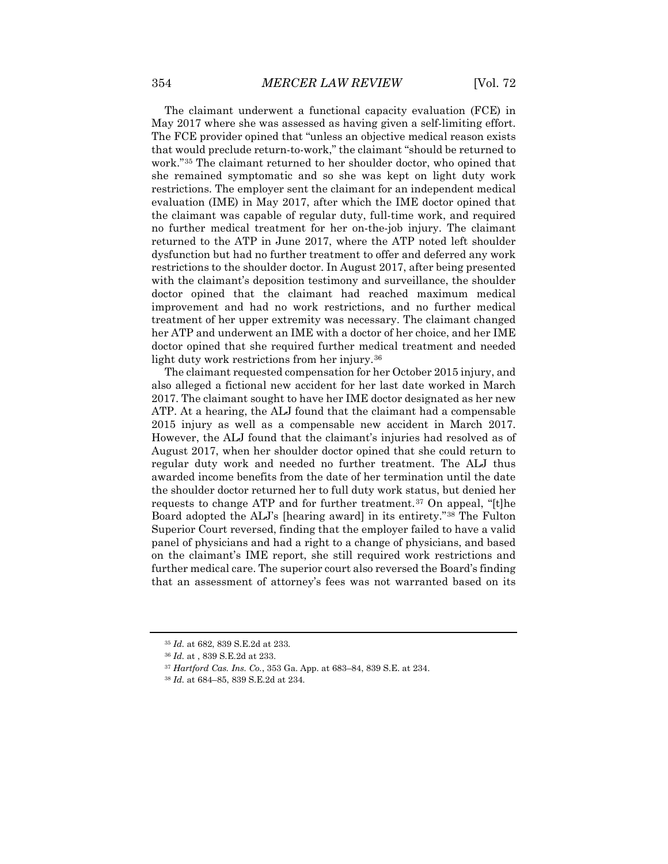The claimant underwent a functional capacity evaluation (FCE) in May 2017 where she was assessed as having given a self-limiting effort. The FCE provider opined that "unless an objective medical reason exists that would preclude return-to-work," the claimant "should be returned to work."[35](#page-6-0) The claimant returned to her shoulder doctor, who opined that she remained symptomatic and so she was kept on light duty work restrictions. The employer sent the claimant for an independent medical evaluation (IME) in May 2017, after which the IME doctor opined that the claimant was capable of regular duty, full-time work, and required no further medical treatment for her on-the-job injury. The claimant returned to the ATP in June 2017, where the ATP noted left shoulder dysfunction but had no further treatment to offer and deferred any work restrictions to the shoulder doctor. In August 2017, after being presented with the claimant's deposition testimony and surveillance, the shoulder doctor opined that the claimant had reached maximum medical improvement and had no work restrictions, and no further medical treatment of her upper extremity was necessary. The claimant changed her ATP and underwent an IME with a doctor of her choice, and her IME doctor opined that she required further medical treatment and needed light duty work restrictions from her injury.[36](#page-6-1)

The claimant requested compensation for her October 2015 injury, and also alleged a fictional new accident for her last date worked in March 2017. The claimant sought to have her IME doctor designated as her new ATP. At a hearing, the ALJ found that the claimant had a compensable 2015 injury as well as a compensable new accident in March 2017. However, the ALJ found that the claimant's injuries had resolved as of August 2017, when her shoulder doctor opined that she could return to regular duty work and needed no further treatment. The ALJ thus awarded income benefits from the date of her termination until the date the shoulder doctor returned her to full duty work status, but denied her requests to change ATP and for further treatment.[37](#page-6-2) On appeal, "[t]he Board adopted the ALJ's [hearing award] in its entirety."[38](#page-6-3) The Fulton Superior Court reversed, finding that the employer failed to have a valid panel of physicians and had a right to a change of physicians, and based on the claimant's IME report, she still required work restrictions and further medical care. The superior court also reversed the Board's finding that an assessment of attorney's fees was not warranted based on its

<span id="page-6-1"></span><span id="page-6-0"></span><sup>35</sup> *Id.* at 682, 839 S.E.2d at 233.

<sup>36</sup> *Id.* at , 839 S.E.2d at 233.

<span id="page-6-3"></span><span id="page-6-2"></span><sup>37</sup> *Hartford Cas. Ins. Co.*, 353 Ga. App. at 683–84, 839 S.E. at 234.

<sup>38</sup> *Id.* at 684–85, 839 S.E.2d at 234.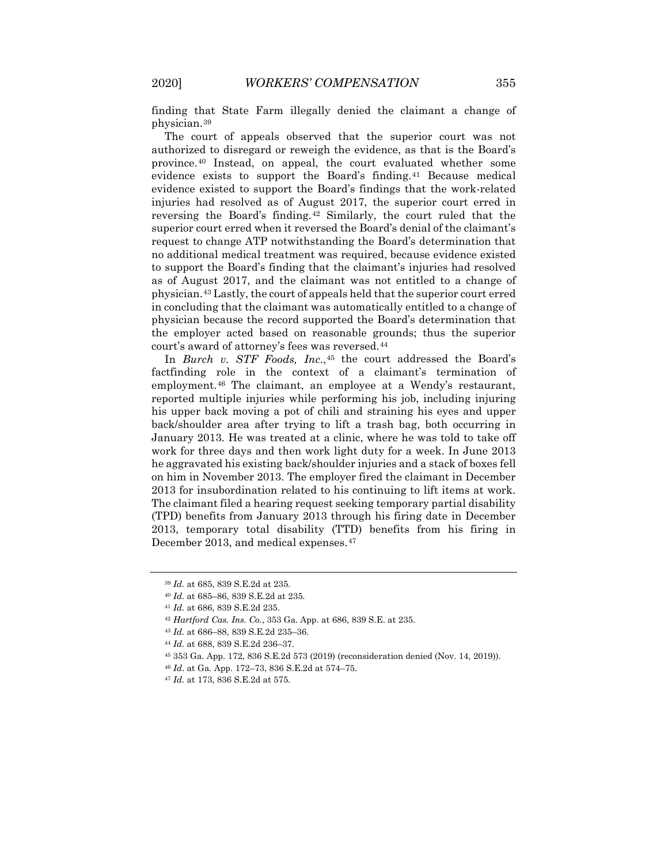finding that State Farm illegally denied the claimant a change of physician.[39](#page-7-0)

The court of appeals observed that the superior court was not authorized to disregard or reweigh the evidence, as that is the Board's province.[40](#page-7-1) Instead, on appeal, the court evaluated whether some evidence exists to support the Board's finding.<sup>[41](#page-7-2)</sup> Because medical evidence existed to support the Board's findings that the work-related injuries had resolved as of August 2017, the superior court erred in reversing the Board's finding.[42](#page-7-3) Similarly, the court ruled that the superior court erred when it reversed the Board's denial of the claimant's request to change ATP notwithstanding the Board's determination that no additional medical treatment was required, because evidence existed to support the Board's finding that the claimant's injuries had resolved as of August 2017, and the claimant was not entitled to a change of physician.[43](#page-7-4) Lastly, the court of appeals held that the superior court erred in concluding that the claimant was automatically entitled to a change of physician because the record supported the Board's determination that the employer acted based on reasonable grounds; thus the superior court's award of attorney's fees was reversed.[44](#page-7-5)

In *Burch v. STF Foods, Inc.*,<sup>[45](#page-7-6)</sup> the court addressed the Board's factfinding role in the context of a claimant's termination of employment.[46](#page-7-7) The claimant, an employee at a Wendy's restaurant, reported multiple injuries while performing his job, including injuring his upper back moving a pot of chili and straining his eyes and upper back/shoulder area after trying to lift a trash bag, both occurring in January 2013. He was treated at a clinic, where he was told to take off work for three days and then work light duty for a week. In June 2013 he aggravated his existing back/shoulder injuries and a stack of boxes fell on him in November 2013. The employer fired the claimant in December 2013 for insubordination related to his continuing to lift items at work. The claimant filed a hearing request seeking temporary partial disability (TPD) benefits from January 2013 through his firing date in December 2013, temporary total disability (TTD) benefits from his firing in December 2013, and medical expenses.<sup>[47](#page-7-8)</sup>

<span id="page-7-6"></span><sup>45</sup> 353 Ga. App. 172, 836 S.E.2d 573 (2019) (reconsideration denied (Nov. 14, 2019)).

<span id="page-7-0"></span><sup>39</sup> *Id.* at 685, 839 S.E.2d at 235.

<span id="page-7-1"></span><sup>40</sup> *Id.* at 685–86, 839 S.E.2d at 235.

<span id="page-7-2"></span><sup>41</sup> *Id.* at 686, 839 S.E.2d 235.

<span id="page-7-3"></span><sup>42</sup> *Hartford Cas. Ins. Co.*, 353 Ga. App. at 686, 839 S.E. at 235.

<span id="page-7-4"></span><sup>43</sup> *Id.* at 686–88, 839 S.E.2d 235–36.

<span id="page-7-5"></span><sup>44</sup> *Id.* at 688, 839 S.E.2d 236–37.

<span id="page-7-7"></span><sup>46</sup> *Id*. at Ga. App. 172–73, 836 S.E.2d at 574–75.

<span id="page-7-8"></span><sup>47</sup> *Id.* at 173, 836 S.E.2d at 575.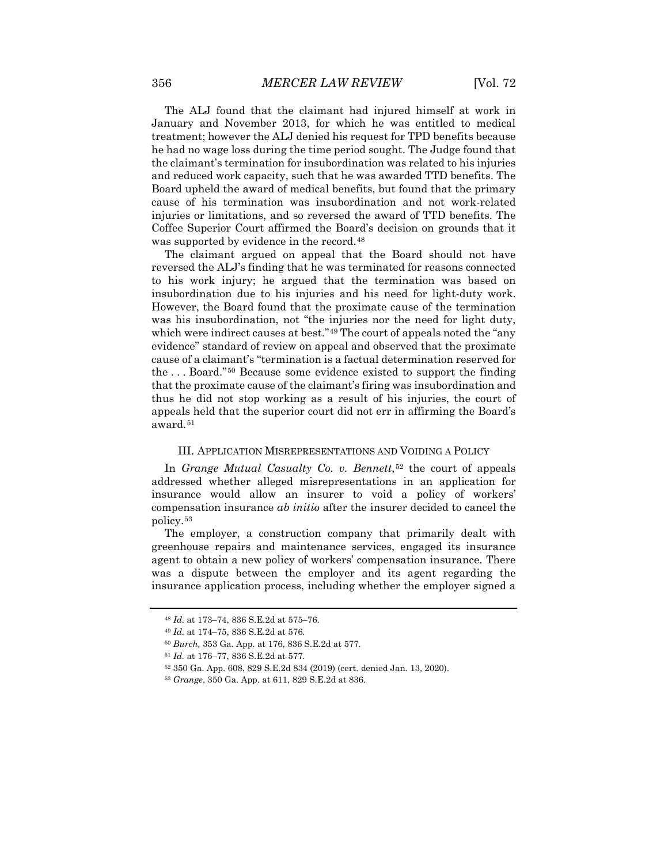The ALJ found that the claimant had injured himself at work in January and November 2013, for which he was entitled to medical treatment; however the ALJ denied his request for TPD benefits because he had no wage loss during the time period sought. The Judge found that the claimant's termination for insubordination was related to his injuries and reduced work capacity, such that he was awarded TTD benefits. The Board upheld the award of medical benefits, but found that the primary cause of his termination was insubordination and not work-related injuries or limitations, and so reversed the award of TTD benefits. The Coffee Superior Court affirmed the Board's decision on grounds that it was supported by evidence in the record.<sup>[48](#page-8-0)</sup>

The claimant argued on appeal that the Board should not have reversed the ALJ's finding that he was terminated for reasons connected to his work injury; he argued that the termination was based on insubordination due to his injuries and his need for light-duty work. However, the Board found that the proximate cause of the termination was his insubordination, not "the injuries nor the need for light duty, which were indirect causes at best."[49](#page-8-1) The court of appeals noted the "any evidence" standard of review on appeal and observed that the proximate cause of a claimant's "termination is a factual determination reserved for the . . . Board."[50](#page-8-2) Because some evidence existed to support the finding that the proximate cause of the claimant's firing was insubordination and thus he did not stop working as a result of his injuries, the court of appeals held that the superior court did not err in affirming the Board's award.[51](#page-8-3)

#### III. APPLICATION MISREPRESENTATIONS AND VOIDING A POLICY

In *Grange Mutual Casualty Co. v. Bennett*,<sup>[52](#page-8-4)</sup> the court of appeals addressed whether alleged misrepresentations in an application for insurance would allow an insurer to void a policy of workers' compensation insurance *ab initio* after the insurer decided to cancel the policy.[53](#page-8-5)

The employer, a construction company that primarily dealt with greenhouse repairs and maintenance services, engaged its insurance agent to obtain a new policy of workers' compensation insurance. There was a dispute between the employer and its agent regarding the insurance application process, including whether the employer signed a

<sup>48</sup> *Id.* at 173–74, 836 S.E.2d at 575–76.

<span id="page-8-1"></span><span id="page-8-0"></span><sup>49</sup> *Id.* at 174–75, 836 S.E.2d at 576.

<span id="page-8-3"></span><span id="page-8-2"></span><sup>50</sup> *Burch,* 353 Ga. App. at 176, 836 S.E.2d at 577.

<sup>51</sup> *Id.* at 176–77, 836 S.E.2d at 577.

<span id="page-8-5"></span><span id="page-8-4"></span><sup>52</sup> 350 Ga. App. 608, 829 S.E.2d 834 (2019) (cert. denied Jan. 13, 2020).

<sup>53</sup> *Grange*, 350 Ga. App. at 611, 829 S.E.2d at 836.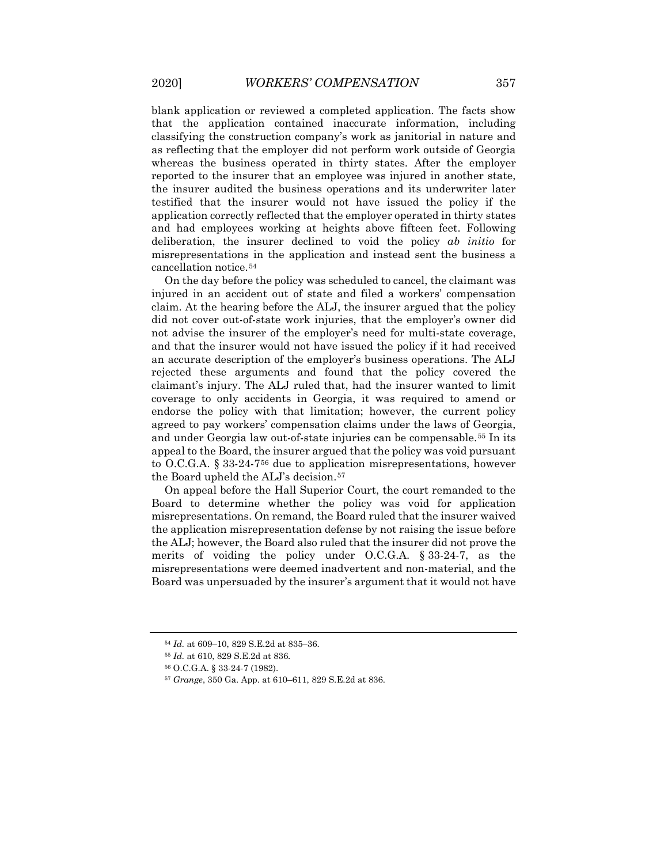blank application or reviewed a completed application. The facts show that the application contained inaccurate information, including classifying the construction company's work as janitorial in nature and as reflecting that the employer did not perform work outside of Georgia whereas the business operated in thirty states. After the employer reported to the insurer that an employee was injured in another state, the insurer audited the business operations and its underwriter later testified that the insurer would not have issued the policy if the application correctly reflected that the employer operated in thirty states and had employees working at heights above fifteen feet. Following deliberation, the insurer declined to void the policy *ab initio* for misrepresentations in the application and instead sent the business a

cancellation notice.[54](#page-9-0) On the day before the policy was scheduled to cancel, the claimant was injured in an accident out of state and filed a workers' compensation claim. At the hearing before the ALJ, the insurer argued that the policy did not cover out-of-state work injuries, that the employer's owner did not advise the insurer of the employer's need for multi-state coverage, and that the insurer would not have issued the policy if it had received an accurate description of the employer's business operations. The ALJ rejected these arguments and found that the policy covered the claimant's injury. The ALJ ruled that, had the insurer wanted to limit coverage to only accidents in Georgia, it was required to amend or endorse the policy with that limitation; however, the current policy agreed to pay workers' compensation claims under the laws of Georgia, and under Georgia law out-of-state injuries can be compensable.<sup>[55](#page-9-1)</sup> In its appeal to the Board, the insurer argued that the policy was void pursuant to O.C.G.A. § 33-24-7[56](#page-9-2) due to application misrepresentations, however the Board upheld the ALJ's decision.[57](#page-9-3)

On appeal before the Hall Superior Court, the court remanded to the Board to determine whether the policy was void for application misrepresentations. On remand, the Board ruled that the insurer waived the application misrepresentation defense by not raising the issue before the ALJ; however, the Board also ruled that the insurer did not prove the merits of voiding the policy under O.C.G.A. § 33-24-7, as the misrepresentations were deemed inadvertent and non-material, and the Board was unpersuaded by the insurer's argument that it would not have

<span id="page-9-0"></span><sup>54</sup> *Id.* at 609–10, 829 S.E.2d at 835–36.

<span id="page-9-2"></span><span id="page-9-1"></span><sup>55</sup> *Id.* at 610, 829 S.E.2d at 836.

<sup>56</sup> O.C.G.A. § 33-24-7 (1982).

<span id="page-9-3"></span><sup>57</sup> *Grange*, 350 Ga. App. at 610–611, 829 S.E.2d at 836.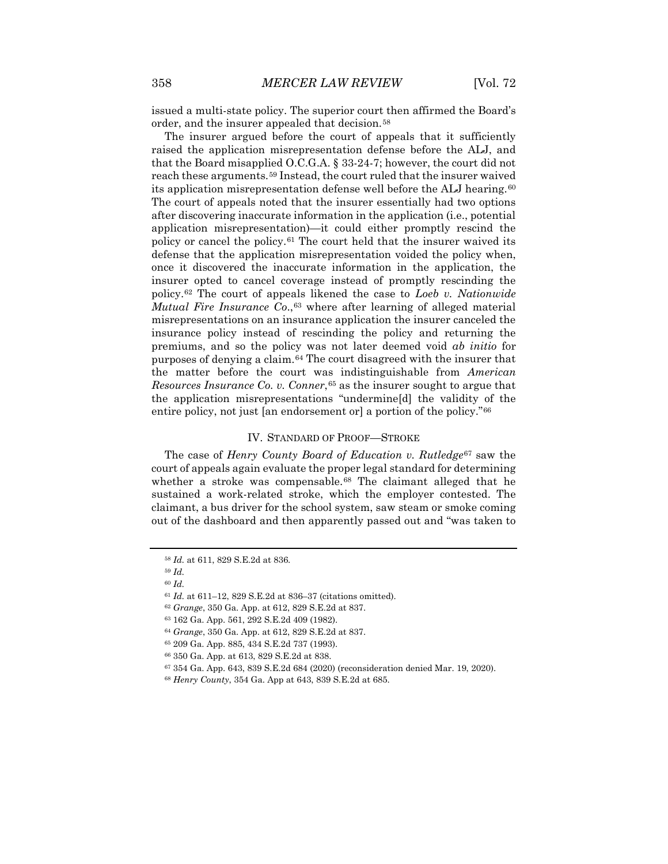issued a multi-state policy. The superior court then affirmed the Board's order, and the insurer appealed that decision.[58](#page-10-0)

The insurer argued before the court of appeals that it sufficiently raised the application misrepresentation defense before the ALJ, and that the Board misapplied O.C.G.A. § 33-24-7; however, the court did not reach these arguments.[59](#page-10-1) Instead, the court ruled that the insurer waived its application misrepresentation defense well before the ALJ hearing.<sup>[60](#page-10-2)</sup> The court of appeals noted that the insurer essentially had two options after discovering inaccurate information in the application (i.e., potential application misrepresentation)—it could either promptly rescind the policy or cancel the policy.[61](#page-10-3) The court held that the insurer waived its defense that the application misrepresentation voided the policy when, once it discovered the inaccurate information in the application, the insurer opted to cancel coverage instead of promptly rescinding the policy.[62](#page-10-4) The court of appeals likened the case to *Loeb v. Nationwide Mutual Fire Insurance Co.*,<sup>[63](#page-10-5)</sup> where after learning of alleged material misrepresentations on an insurance application the insurer canceled the insurance policy instead of rescinding the policy and returning the premiums, and so the policy was not later deemed void *ab initio* for purposes of denying a claim.[64](#page-10-6) The court disagreed with the insurer that the matter before the court was indistinguishable from *American Resources Insurance Co. v. Conner*,[65](#page-10-7) as the insurer sought to argue that the application misrepresentations "undermine[d] the validity of the entire policy, not just [an endorsement or] a portion of the policy."[66](#page-10-8)

#### IV. STANDARD OF PROOF—STROKE

The case of *Henry County Board of Education v. Rutledge*[67](#page-10-9) saw the court of appeals again evaluate the proper legal standard for determining whether a stroke was compensable.<sup>[68](#page-10-10)</sup> The claimant alleged that he sustained a work-related stroke, which the employer contested. The claimant, a bus driver for the school system, saw steam or smoke coming out of the dashboard and then apparently passed out and "was taken to

<span id="page-10-1"></span><span id="page-10-0"></span><sup>58</sup> *Id.* at 611, 829 S.E.2d at 836.

<sup>59</sup> *Id.*

<span id="page-10-2"></span><sup>60</sup> *Id.*

<span id="page-10-4"></span><span id="page-10-3"></span><sup>61</sup> *Id.* at 611–12, 829 S.E.2d at 836–37 (citations omitted).

<sup>62</sup> *Grange*, 350 Ga. App. at 612, 829 S.E.2d at 837.

<sup>63</sup> 162 Ga. App. 561, 292 S.E.2d 409 (1982).

<span id="page-10-6"></span><span id="page-10-5"></span><sup>64</sup> *Grange*, 350 Ga. App. at 612, 829 S.E.2d at 837.

<span id="page-10-8"></span><span id="page-10-7"></span><sup>65</sup> 209 Ga. App. 885, 434 S.E.2d 737 (1993).

<sup>66</sup> 350 Ga. App. at 613, 829 S.E.2d at 838.

<span id="page-10-10"></span><span id="page-10-9"></span><sup>67</sup> 354 Ga. App. 643, 839 S.E.2d 684 (2020) (reconsideration denied Mar. 19, 2020).

<sup>68</sup> *Henry County*, 354 Ga. App at 643, 839 S.E.2d at 685.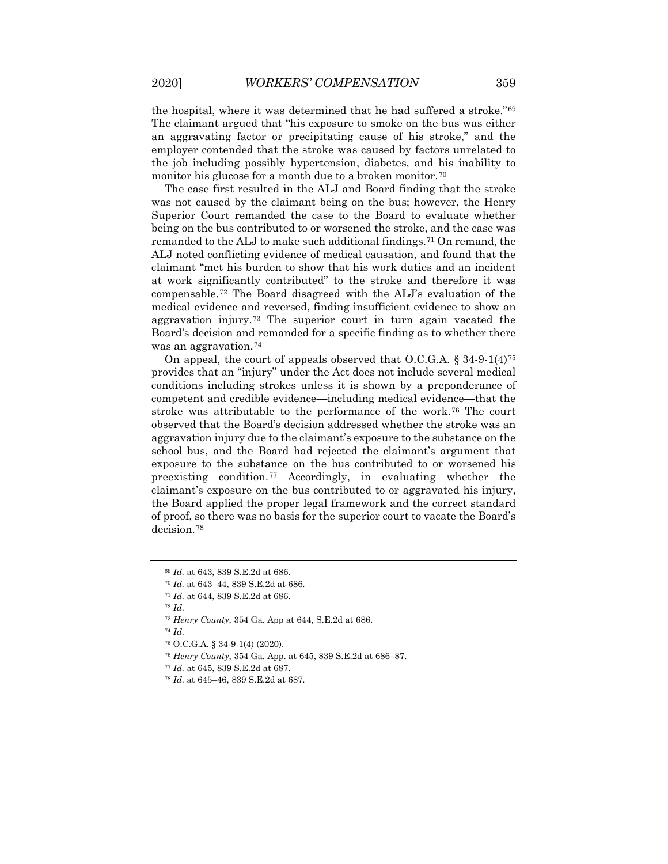the hospital, where it was determined that he had suffered a stroke."[69](#page-11-0) The claimant argued that "his exposure to smoke on the bus was either an aggravating factor or precipitating cause of his stroke," and the employer contended that the stroke was caused by factors unrelated to the job including possibly hypertension, diabetes, and his inability to monitor his glucose for a month due to a broken monitor.<sup>[70](#page-11-1)</sup>

The case first resulted in the ALJ and Board finding that the stroke was not caused by the claimant being on the bus; however, the Henry Superior Court remanded the case to the Board to evaluate whether being on the bus contributed to or worsened the stroke, and the case was remanded to the ALJ to make such additional findings.<sup>[71](#page-11-2)</sup> On remand, the ALJ noted conflicting evidence of medical causation, and found that the claimant "met his burden to show that his work duties and an incident at work significantly contributed" to the stroke and therefore it was compensable.[72](#page-11-3) The Board disagreed with the ALJ's evaluation of the medical evidence and reversed, finding insufficient evidence to show an aggravation injury.[73](#page-11-4) The superior court in turn again vacated the Board's decision and remanded for a specific finding as to whether there was an aggravation.<sup>[74](#page-11-5)</sup>

On appeal, the court of appeals observed that O.C.G.A.  $\S 34.9.1(4)$ <sup>[75](#page-11-6)</sup> provides that an "injury" under the Act does not include several medical conditions including strokes unless it is shown by a preponderance of competent and credible evidence—including medical evidence—that the stroke was attributable to the performance of the work.[76](#page-11-7) The court observed that the Board's decision addressed whether the stroke was an aggravation injury due to the claimant's exposure to the substance on the school bus, and the Board had rejected the claimant's argument that exposure to the substance on the bus contributed to or worsened his preexisting condition.[77](#page-11-8) Accordingly, in evaluating whether the claimant's exposure on the bus contributed to or aggravated his injury, the Board applied the proper legal framework and the correct standard of proof, so there was no basis for the superior court to vacate the Board's decision.[78](#page-11-9)

<sup>74</sup> *Id.*

<span id="page-11-0"></span><sup>69</sup> *Id.* at 643, 839 S.E.2d at 686.

<sup>70</sup> *Id.* at 643–44, 839 S.E.2d at 686.

<sup>71</sup> *Id.* at 644, 839 S.E.2d at 686.

<span id="page-11-5"></span><span id="page-11-4"></span><span id="page-11-3"></span><span id="page-11-2"></span><span id="page-11-1"></span><sup>72</sup> *Id.*

<sup>73</sup> *Henry County*, 354 Ga. App at 644, S.E.2d at 686.

<span id="page-11-6"></span><sup>75</sup> O.C.G.A. § 34-9-1(4) (2020).

<span id="page-11-8"></span><span id="page-11-7"></span><sup>76</sup> *Henry County*, 354 Ga. App. at 645, 839 S.E.2d at 686–87.

<sup>77</sup> *Id.* at 645, 839 S.E.2d at 687.

<span id="page-11-9"></span><sup>78</sup> *Id.* at 645–46, 839 S.E.2d at 687.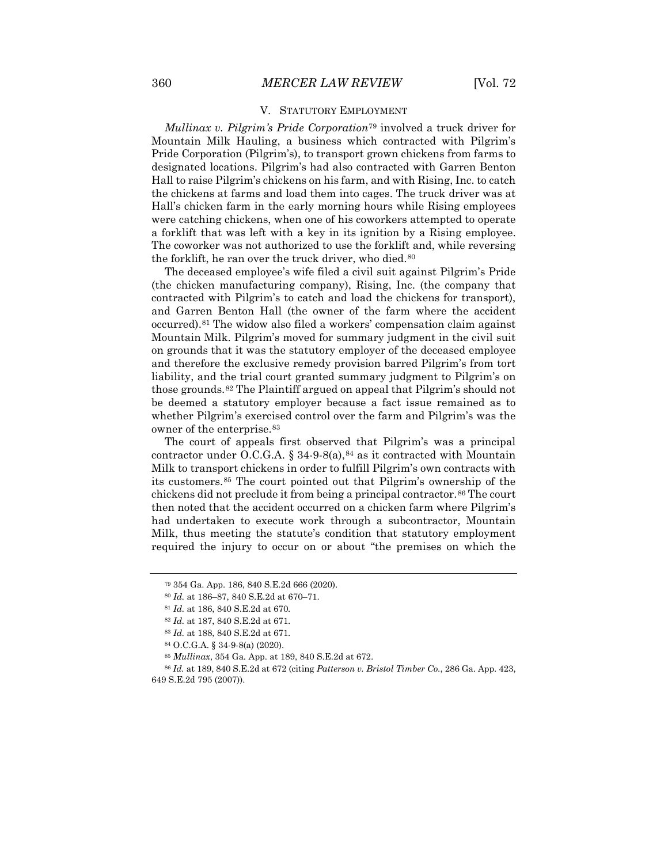#### V. STATUTORY EMPLOYMENT

*Mullinax v. Pilgrim's Pride Corporation*[79](#page-12-0) involved a truck driver for Mountain Milk Hauling, a business which contracted with Pilgrim's Pride Corporation (Pilgrim's), to transport grown chickens from farms to designated locations. Pilgrim's had also contracted with Garren Benton Hall to raise Pilgrim's chickens on his farm, and with Rising, Inc. to catch the chickens at farms and load them into cages. The truck driver was at Hall's chicken farm in the early morning hours while Rising employees were catching chickens, when one of his coworkers attempted to operate a forklift that was left with a key in its ignition by a Rising employee. The coworker was not authorized to use the forklift and, while reversing the forklift, he ran over the truck driver, who died.<sup>[80](#page-12-1)</sup>

The deceased employee's wife filed a civil suit against Pilgrim's Pride (the chicken manufacturing company), Rising, Inc. (the company that contracted with Pilgrim's to catch and load the chickens for transport), and Garren Benton Hall (the owner of the farm where the accident occurred).[81](#page-12-2) The widow also filed a workers' compensation claim against Mountain Milk. Pilgrim's moved for summary judgment in the civil suit on grounds that it was the statutory employer of the deceased employee and therefore the exclusive remedy provision barred Pilgrim's from tort liability, and the trial court granted summary judgment to Pilgrim's on those grounds.[82](#page-12-3) The Plaintiff argued on appeal that Pilgrim's should not be deemed a statutory employer because a fact issue remained as to whether Pilgrim's exercised control over the farm and Pilgrim's was the owner of the enterprise.[83](#page-12-4)

The court of appeals first observed that Pilgrim's was a principal contractor under O.C.G.A. § 34-9-8(a), $84$  as it contracted with Mountain Milk to transport chickens in order to fulfill Pilgrim's own contracts with its customers.[85](#page-12-6) The court pointed out that Pilgrim's ownership of the chickens did not preclude it from being a principal contractor.<sup>[86](#page-12-7)</sup> The court then noted that the accident occurred on a chicken farm where Pilgrim's had undertaken to execute work through a subcontractor, Mountain Milk, thus meeting the statute's condition that statutory employment required the injury to occur on or about "the premises on which the

<span id="page-12-0"></span><sup>79</sup> 354 Ga. App. 186, 840 S.E.2d 666 (2020).

<span id="page-12-1"></span><sup>80</sup> *Id.* at 186–87, 840 S.E.2d at 670–71.

<sup>81</sup> *Id.* at 186, 840 S.E.2d at 670.

<sup>82</sup> *Id.* at 187, 840 S.E.2d at 671.

<sup>83</sup> *Id.* at 188, 840 S.E.2d at 671.

<sup>84</sup> O.C.G.A. § 34-9-8(a) (2020).

<sup>85</sup> *Mullinax*, 354 Ga. App. at 189, 840 S.E.2d at 672.

<span id="page-12-7"></span><span id="page-12-6"></span><span id="page-12-5"></span><span id="page-12-4"></span><span id="page-12-3"></span><span id="page-12-2"></span><sup>86</sup> *Id.* at 189, 840 S.E.2d at 672 (citing *Patterson v. Bristol Timber Co*., 286 Ga. App. 423, 649 S.E.2d 795 (2007)).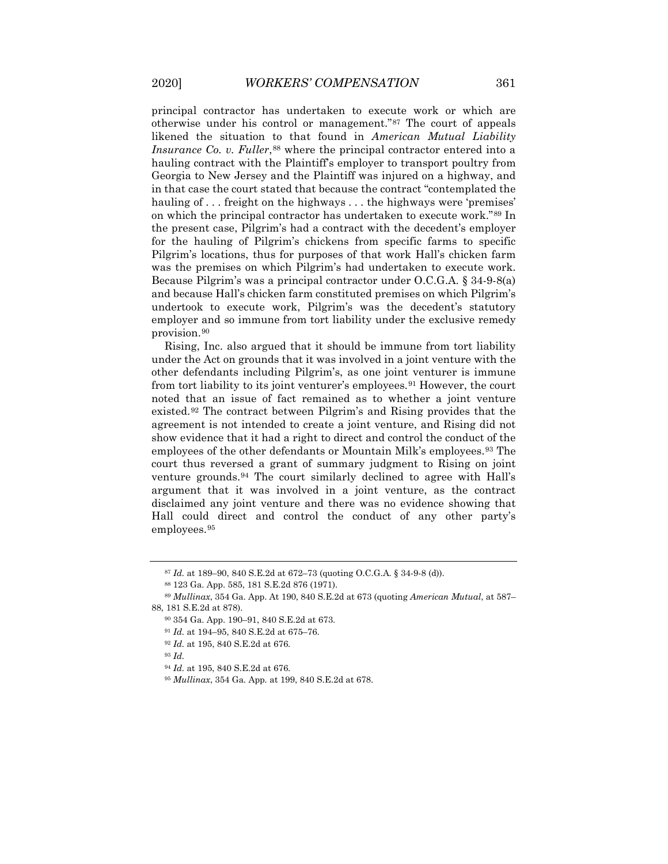principal contractor has undertaken to execute work or which are otherwise under his control or management."[87](#page-13-0) The court of appeals likened the situation to that found in *American Mutual Liability Insurance Co. v. Fuller*,<sup>[88](#page-13-1)</sup> where the principal contractor entered into a hauling contract with the Plaintiff's employer to transport poultry from Georgia to New Jersey and the Plaintiff was injured on a highway, and in that case the court stated that because the contract "contemplated the hauling of . . . freight on the highways . . . the highways were 'premises' on which the principal contractor has undertaken to execute work."[89](#page-13-2) In the present case, Pilgrim's had a contract with the decedent's employer for the hauling of Pilgrim's chickens from specific farms to specific Pilgrim's locations, thus for purposes of that work Hall's chicken farm was the premises on which Pilgrim's had undertaken to execute work. Because Pilgrim's was a principal contractor under O.C.G.A. § 34-9-8(a) and because Hall's chicken farm constituted premises on which Pilgrim's undertook to execute work, Pilgrim's was the decedent's statutory employer and so immune from tort liability under the exclusive remedy provision.[90](#page-13-3)

Rising, Inc. also argued that it should be immune from tort liability under the Act on grounds that it was involved in a joint venture with the other defendants including Pilgrim's, as one joint venturer is immune from tort liability to its joint venturer's employees.<sup>[91](#page-13-4)</sup> However, the court noted that an issue of fact remained as to whether a joint venture existed.[92](#page-13-5) The contract between Pilgrim's and Rising provides that the agreement is not intended to create a joint venture, and Rising did not show evidence that it had a right to direct and control the conduct of the employees of the other defendants or Mountain Milk's employees.<sup>[93](#page-13-6)</sup> The court thus reversed a grant of summary judgment to Rising on joint venture grounds.[94](#page-13-7) The court similarly declined to agree with Hall's argument that it was involved in a joint venture, as the contract disclaimed any joint venture and there was no evidence showing that Hall could direct and control the conduct of any other party's employees.[95](#page-13-8)

<sup>87</sup> *Id.* at 189–90, 840 S.E.2d at 672–73 (quoting O.C.G.A. § 34-9-8 (d)).

<sup>88</sup> 123 Ga. App. 585, 181 S.E.2d 876 (1971).

<span id="page-13-6"></span><span id="page-13-5"></span><span id="page-13-4"></span><span id="page-13-3"></span><span id="page-13-2"></span><span id="page-13-1"></span><span id="page-13-0"></span><sup>89</sup> *Mullinax*, 354 Ga. App. At 190, 840 S.E.2d at 673 (quoting *American Mutual*, at 587– 88, 181 S.E.2d at 878).

<sup>90</sup> 354 Ga. App. 190–91, 840 S.E.2d at 673.

<sup>91</sup> *Id.* at 194–95, 840 S.E.2d at 675–76.

<sup>92</sup> *Id.* at 195, 840 S.E.2d at 676.

<span id="page-13-7"></span><sup>93</sup> *Id.*

<span id="page-13-8"></span><sup>94</sup> *Id.* at 195, 840 S.E.2d at 676.

<sup>95</sup> *Mullinax*, 354 Ga. App*.* at 199, 840 S.E.2d at 678.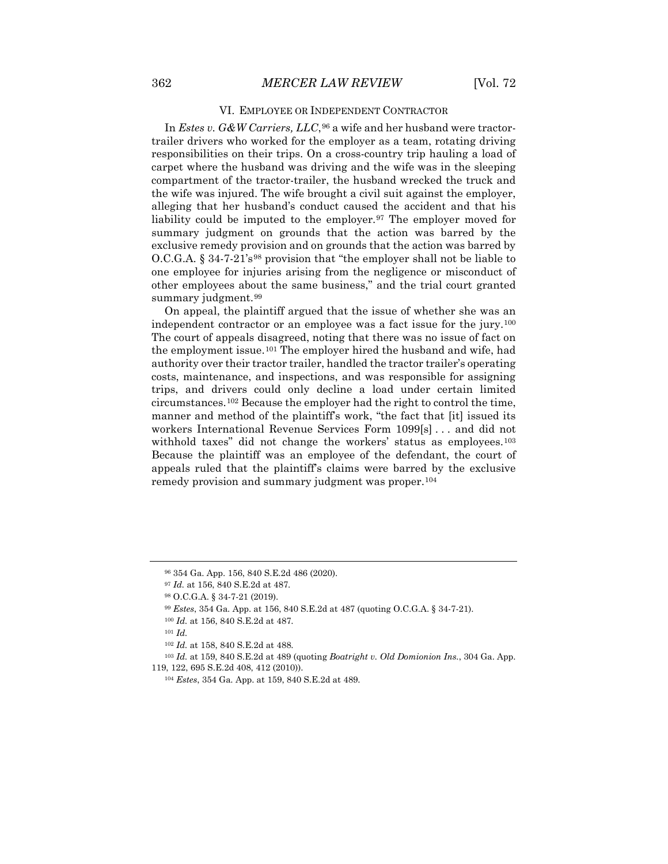### VI. EMPLOYEE OR INDEPENDENT CONTRACTOR

In *Estes v. G&W Carriers, LLC*, <sup>[96](#page-14-0)</sup> a wife and her husband were tractortrailer drivers who worked for the employer as a team, rotating driving responsibilities on their trips. On a cross-country trip hauling a load of carpet where the husband was driving and the wife was in the sleeping compartment of the tractor-trailer, the husband wrecked the truck and the wife was injured. The wife brought a civil suit against the employer, alleging that her husband's conduct caused the accident and that his liability could be imputed to the employer.<sup>[97](#page-14-1)</sup> The employer moved for summary judgment on grounds that the action was barred by the exclusive remedy provision and on grounds that the action was barred by O.C.G.A. § 34-7-21's<sup>[98](#page-14-2)</sup> provision that "the employer shall not be liable to one employee for injuries arising from the negligence or misconduct of other employees about the same business," and the trial court granted summary judgment.<sup>[99](#page-14-3)</sup>

On appeal, the plaintiff argued that the issue of whether she was an independent contractor or an employee was a fact issue for the jury.[100](#page-14-4) The court of appeals disagreed, noting that there was no issue of fact on the employment issue.[101](#page-14-5) The employer hired the husband and wife, had authority over their tractor trailer, handled the tractor trailer's operating costs, maintenance, and inspections, and was responsible for assigning trips, and drivers could only decline a load under certain limited circumstances.[102](#page-14-6) Because the employer had the right to control the time, manner and method of the plaintiff's work, "the fact that [it] issued its workers International Revenue Services Form 1099[s] . . . and did not withhold taxes" did not change the workers' status as employees.<sup>[103](#page-14-7)</sup> Because the plaintiff was an employee of the defendant, the court of appeals ruled that the plaintiff's claims were barred by the exclusive remedy provision and summary judgment was proper.<sup>[104](#page-14-8)</sup>

<span id="page-14-0"></span><sup>96</sup> 354 Ga. App. 156, 840 S.E.2d 486 (2020).

<span id="page-14-1"></span><sup>97</sup> *Id.* at 156, 840 S.E.2d at 487.

<sup>98</sup> O.C.G.A. § 34-7-21 (2019).

<sup>99</sup> *Estes*, 354 Ga. App. at 156, 840 S.E.2d at 487 (quoting O.C.G.A. § 34-7-21).

<sup>100</sup> *Id.* at 156, 840 S.E.2d at 487.

<sup>101</sup> *Id.*

<sup>102</sup> *Id.* at 158, 840 S.E.2d at 488.

<span id="page-14-8"></span><span id="page-14-7"></span><span id="page-14-6"></span><span id="page-14-5"></span><span id="page-14-4"></span><span id="page-14-3"></span><span id="page-14-2"></span><sup>103</sup> *Id.* at 159, 840 S.E.2d at 489 (quoting *Boatright v. Old Domionion Ins.*, 304 Ga. App. 119, 122, 695 S.E.2d 408, 412 (2010)).

<sup>104</sup> *Estes*, 354 Ga. App. at 159, 840 S.E.2d at 489.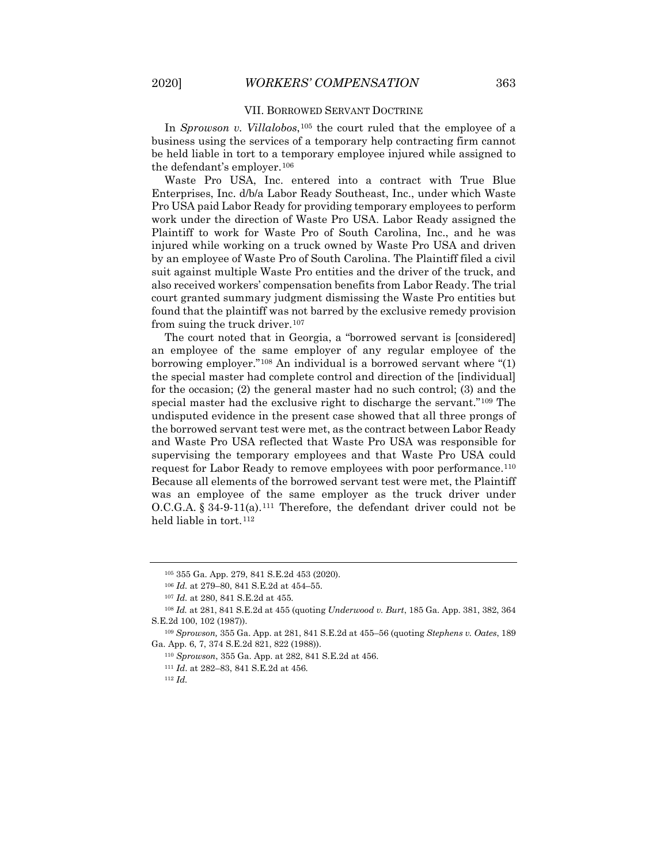#### VII. BORROWED SERVANT DOCTRINE

In *Sprowson v. Villalobos*,<sup>[105](#page-15-0)</sup> the court ruled that the employee of a business using the services of a temporary help contracting firm cannot be held liable in tort to a temporary employee injured while assigned to the defendant's employer.[106](#page-15-1)

Waste Pro USA, Inc. entered into a contract with True Blue Enterprises, Inc. d/b/a Labor Ready Southeast, Inc., under which Waste Pro USA paid Labor Ready for providing temporary employees to perform work under the direction of Waste Pro USA. Labor Ready assigned the Plaintiff to work for Waste Pro of South Carolina, Inc., and he was injured while working on a truck owned by Waste Pro USA and driven by an employee of Waste Pro of South Carolina. The Plaintiff filed a civil suit against multiple Waste Pro entities and the driver of the truck, and also received workers' compensation benefits from Labor Ready. The trial court granted summary judgment dismissing the Waste Pro entities but found that the plaintiff was not barred by the exclusive remedy provision from suing the truck driver.[107](#page-15-2)

The court noted that in Georgia, a "borrowed servant is [considered] an employee of the same employer of any regular employee of the borrowing employer."[108](#page-15-3) An individual is a borrowed servant where "(1) the special master had complete control and direction of the [individual] for the occasion; (2) the general master had no such control; (3) and the special master had the exclusive right to discharge the servant."[109](#page-15-4) The undisputed evidence in the present case showed that all three prongs of the borrowed servant test were met, as the contract between Labor Ready and Waste Pro USA reflected that Waste Pro USA was responsible for supervising the temporary employees and that Waste Pro USA could request for Labor Ready to remove employees with poor performance.<sup>[110](#page-15-5)</sup> Because all elements of the borrowed servant test were met, the Plaintiff was an employee of the same employer as the truck driver under O.C.G.A.  $\S 34-9-11(a)$ .<sup>[111](#page-15-6)</sup> Therefore, the defendant driver could not be held liable in tort.<sup>[112](#page-15-7)</sup>

<sup>105</sup> 355 Ga. App. 279, 841 S.E.2d 453 (2020).

<sup>106</sup> *Id.* at 279–80, 841 S.E.2d at 454–55.

<sup>107</sup> *Id.* at 280, 841 S.E.2d at 455.

<span id="page-15-3"></span><span id="page-15-2"></span><span id="page-15-1"></span><span id="page-15-0"></span><sup>108</sup> *Id.* at 281, 841 S.E.2d at 455 (quoting *Underwood v. Burt*, 185 Ga. App. 381, 382, 364 S.E.2d 100, 102 (1987)).

<span id="page-15-7"></span><span id="page-15-6"></span><span id="page-15-5"></span><span id="page-15-4"></span><sup>109</sup> *Sprowson,* 355 Ga. App. at 281, 841 S.E.2d at 455–56 (quoting *Stephens v. Oates*, 189 Ga. App. 6, 7, 374 S.E.2d 821, 822 (1988)).

<sup>110</sup> *Sprowson*, 355 Ga. App. at 282, 841 S.E.2d at 456.

<sup>111</sup> *Id*. at 282–83, 841 S.E.2d at 456.

<sup>112</sup> *Id.*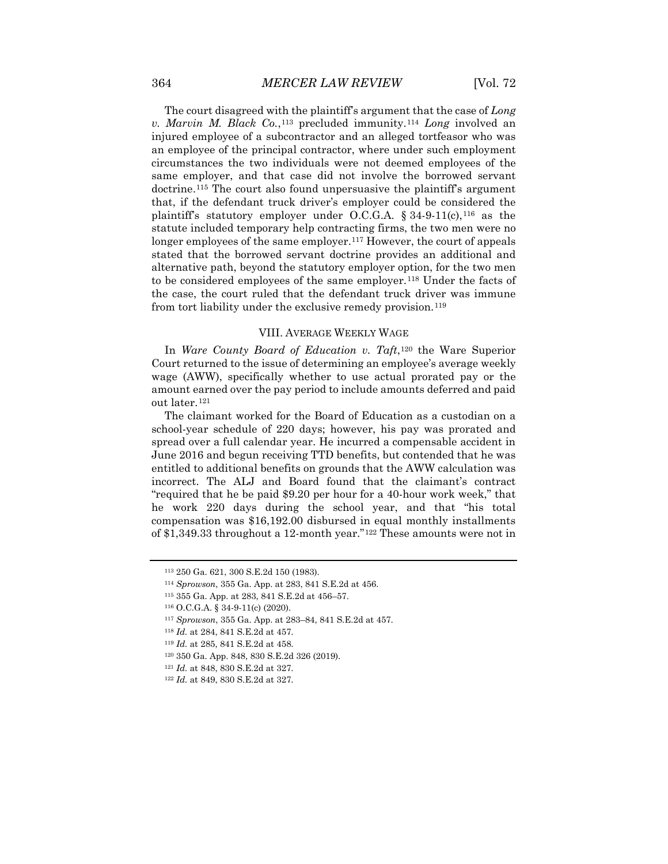The court disagreed with the plaintiff's argument that the case of *Long v. Marvin M. Black Co.*,[113](#page-16-0) precluded immunity.[114](#page-16-1) *Long* involved an injured employee of a subcontractor and an alleged tortfeasor who was an employee of the principal contractor, where under such employment circumstances the two individuals were not deemed employees of the same employer, and that case did not involve the borrowed servant doctrine.<sup>[115](#page-16-2)</sup> The court also found unpersuasive the plaintiff's argument that, if the defendant truck driver's employer could be considered the plaintiff's statutory employer under O.C.G.A.  $\S 34.9-11(c)$ ,  $116$  as the statute included temporary help contracting firms, the two men were no longer employees of the same employer.<sup>117</sup> However, the court of appeals stated that the borrowed servant doctrine provides an additional and alternative path, beyond the statutory employer option, for the two men to be considered employees of the same employer.[118](#page-16-5) Under the facts of the case, the court ruled that the defendant truck driver was immune from tort liability under the exclusive remedy provision.<sup>[119](#page-16-6)</sup>

#### VIII. AVERAGE WEEKLY WAGE

In *Ware County Board of Education v. Taft*,[120](#page-16-7) the Ware Superior Court returned to the issue of determining an employee's average weekly wage (AWW), specifically whether to use actual prorated pay or the amount earned over the pay period to include amounts deferred and paid out later.[121](#page-16-8)

The claimant worked for the Board of Education as a custodian on a school-year schedule of 220 days; however, his pay was prorated and spread over a full calendar year. He incurred a compensable accident in June 2016 and begun receiving TTD benefits, but contended that he was entitled to additional benefits on grounds that the AWW calculation was incorrect. The ALJ and Board found that the claimant's contract "required that he be paid \$9.20 per hour for a 40-hour work week," that he work 220 days during the school year, and that "his total compensation was \$16,192.00 disbursed in equal monthly installments of \$1,349.33 throughout a 12-month year."[122](#page-16-9) These amounts were not in

<span id="page-16-1"></span><span id="page-16-0"></span><sup>113</sup> 250 Ga. 621, 300 S.E.2d 150 (1983).

<sup>114</sup> *Sprowson*, 355 Ga. App. at 283, 841 S.E.2d at 456.

<span id="page-16-2"></span><sup>115</sup> 355 Ga. App. at 283, 841 S.E.2d at 456–57.

<span id="page-16-3"></span><sup>116</sup> O.C.G.A. § 34-9-11(c) (2020).

<span id="page-16-4"></span><sup>117</sup> *Sprowson*, 355 Ga. App. at 283–84, 841 S.E.2d at 457.

<span id="page-16-5"></span><sup>118</sup> *Id.* at 284, 841 S.E.2d at 457.

<span id="page-16-6"></span><sup>119</sup> *Id.* at 285, 841 S.E.2d at 458.

<span id="page-16-7"></span><sup>120</sup> 350 Ga. App. 848, 830 S.E.2d 326 (2019).

<span id="page-16-8"></span><sup>121</sup> *Id.* at 848, 830 S.E.2d at 327.

<span id="page-16-9"></span><sup>122</sup> *Id.* at 849, 830 S.E.2d at 327.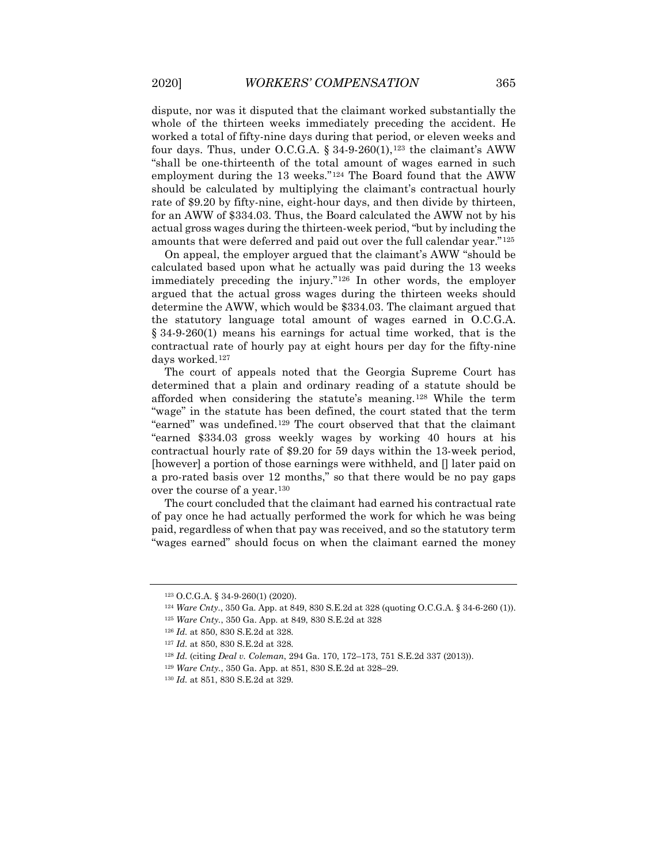dispute, nor was it disputed that the claimant worked substantially the whole of the thirteen weeks immediately preceding the accident. He worked a total of fifty-nine days during that period, or eleven weeks and four days. Thus, under O.C.G.A.  $\S 34-9-260(1)$ ,  $123$  the claimant's AWW "shall be one-thirteenth of the total amount of wages earned in such employment during the 13 weeks."[124](#page-17-1) The Board found that the AWW should be calculated by multiplying the claimant's contractual hourly rate of \$9.20 by fifty-nine, eight-hour days, and then divide by thirteen, for an AWW of \$334.03. Thus, the Board calculated the AWW not by his actual gross wages during the thirteen-week period, "but by including the amounts that were deferred and paid out over the full calendar year."[125](#page-17-2)

On appeal, the employer argued that the claimant's AWW "should be calculated based upon what he actually was paid during the 13 weeks immediately preceding the injury."[126](#page-17-3) In other words, the employer argued that the actual gross wages during the thirteen weeks should determine the AWW, which would be \$334.03. The claimant argued that the statutory language total amount of wages earned in O.C.G.A. § 34-9-260(1) means his earnings for actual time worked, that is the contractual rate of hourly pay at eight hours per day for the fifty-nine days worked.[127](#page-17-4)

The court of appeals noted that the Georgia Supreme Court has determined that a plain and ordinary reading of a statute should be afforded when considering the statute's meaning.[128](#page-17-5) While the term "wage" in the statute has been defined, the court stated that the term "earned" was undefined.[129](#page-17-6) The court observed that that the claimant "earned \$334.03 gross weekly wages by working 40 hours at his contractual hourly rate of \$9.20 for 59 days within the 13-week period, [however] a portion of those earnings were withheld, and [] later paid on a pro-rated basis over 12 months," so that there would be no pay gaps over the course of a year.[130](#page-17-7)

The court concluded that the claimant had earned his contractual rate of pay once he had actually performed the work for which he was being paid, regardless of when that pay was received, and so the statutory term "wages earned" should focus on when the claimant earned the money

<span id="page-17-0"></span><sup>123</sup> O.C.G.A. § 34-9-260(1) (2020).

<span id="page-17-2"></span><span id="page-17-1"></span><sup>124</sup> *Ware Cnty.*, 350 Ga. App. at 849, 830 S.E.2d at 328 (quoting O.C.G.A. § 34-6-260 (1)).

<sup>125</sup> *Ware Cnty.*, 350 Ga. App. at 849, 830 S.E.2d at 328

<span id="page-17-3"></span><sup>126</sup> *Id.* at 850, 830 S.E.2d at 328.

<span id="page-17-4"></span><sup>127</sup> *Id.* at 850, 830 S.E.2d at 328.

<span id="page-17-5"></span><sup>128</sup> *Id.* (citing *Deal v. Coleman*, 294 Ga. 170, 172–173, 751 S.E.2d 337 (2013)).

<span id="page-17-6"></span><sup>129</sup> *Ware Cnty.*, 350 Ga. App. at 851, 830 S.E.2d at 328–29.

<span id="page-17-7"></span><sup>130</sup> *Id.* at 851, 830 S.E.2d at 329.